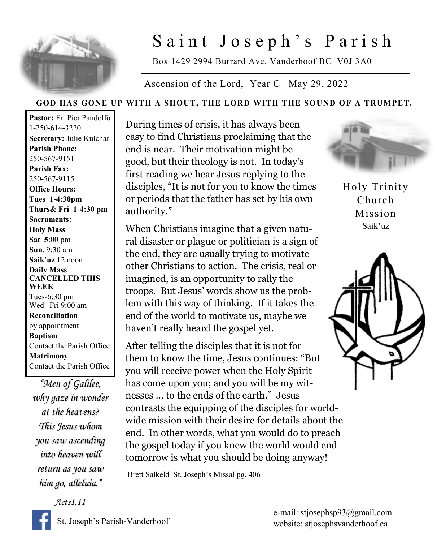

## Saint Joseph's Parish

Box 1429 2994 Burrard Ave. Vanderhoof BC V0J 3A0

Ascension of the Lord, Year C | May 29, 2022

## **GOD HAS GONE UP WITH A SHOUT, THE LORD WITH THE SOUND OF A TRUMPET.**

**Pastor:** Fr. Pier Pandolfo 1-250-614-3220 **Secretary:** Julie Kulchar **Parish Phone:** 250-567-9151 **Parish Fax:** 250-567-9115 **Office Hours: Tues 1-4:30pm Thurs& Fri 1-4:30 pm Sacraments: Holy Mass Sat 5**:00 pm **Sun**. 9:30 am **Saik'uz** 12 noon **Daily Mass CANCELLED THIS WEEK** Tues-6:30 pm Wed--Fri 9:00 am **Reconciliation** by appointment **Baptism** Contact the Parish Office **Matrimony** Contact the Parish Office

*"Men of Galilee, why gaze in wonder at the heavens? This Jesus whom you saw ascending into heaven will return as you saw him go, alleluia."* 

*Acts1.11* 

During times of crisis, it has always been easy to find Christians proclaiming that the end is near. Their motivation might be good, but their theology is not. In today's first reading we hear Jesus replying to the disciples, "It is not for you to know the times or periods that the father has set by his own authority."

When Christians imagine that a given natural disaster or plague or politician is a sign of the end, they are usually trying to motivate other Christians to action. The crisis, real or imagined, is an opportunity to rally the troops. But Jesus' words show us the problem with this way of thinking. If it takes the end of the world to motivate us, maybe we haven't really heard the gospel yet.

After telling the disciples that it is not for them to know the time, Jesus continues: "But you will receive power when the Holy Spirit has come upon you; and you will be my witnesses … to the ends of the earth." Jesus contrasts the equipping of the disciples for worldwide mission with their desire for details about the end. In other words, what you would do to preach the gospel today if you knew the world would end tomorrow is what you should be doing anyway!

Brett Salkeld St. Joseph's Missal pg. 406



Holy Trinity Church Mission Saik'uz

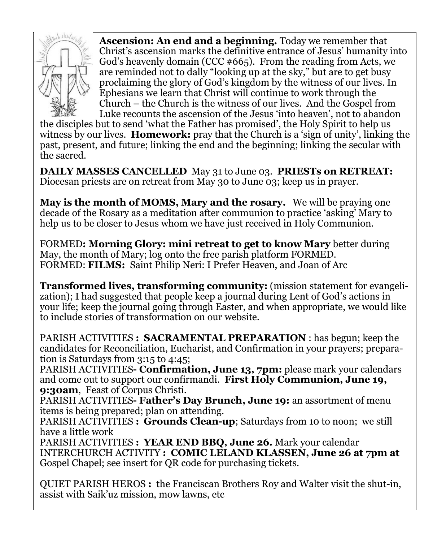

**Ascension: An end and a beginning.** Today we remember that Christ's ascension marks the definitive entrance of Jesus' humanity into God's heavenly domain (CCC  $#665$ ). From the reading from Acts, we are reminded not to dally "looking up at the sky," but are to get busy proclaiming the glory of God's kingdom by the witness of our lives. In Ephesians we learn that Christ will continue to work through the Church – the Church is the witness of our lives. And the Gospel from Luke recounts the ascension of the Jesus 'into heaven', not to abandon

the disciples but to send 'what the Father has promised', the Holy Spirit to help us witness by our lives. **Homework:** pray that the Church is a 'sign of unity', linking the past, present, and future; linking the end and the beginning; linking the secular with the sacred.

**DAILY MASSES CANCELLED** May 31 to June 03. **PRIESTs on RETREAT:**  Diocesan priests are on retreat from May 30 to June 03; keep us in prayer.

**May is the month of MOMS, Mary and the rosary.** We will be praying one decade of the Rosary as a meditation after communion to practice 'asking' Mary to help us to be closer to Jesus whom we have just received in Holy Communion.

FORMED**: Morning Glory: mini retreat to get to know Mary** better during May, the month of Mary; log onto the free parish platform FORMED. FORMED: **FILMS:** Saint Philip Neri: I Prefer Heaven, and Joan of Arc

**Transformed lives, transforming community:** (mission statement for evangelization); I had suggested that people keep a journal during Lent of God's actions in your life; keep the journal going through Easter, and when appropriate, we would like to include stories of transformation on our website.

PARISH ACTIVITIES **: SACRAMENTAL PREPARATION** : has begun; keep the candidates for Reconciliation, Eucharist, and Confirmation in your prayers; preparation is Saturdays from 3:15 to 4:45;

PARISH ACTIVITIES**- Confirmation, June 13, 7pm:** please mark your calendars and come out to support our confirmandi. **First Holy Communion, June 19, 9:30am**, Feast of Corpus Christi.

PARISH ACTIVITIES**- Father's Day Brunch, June 19:** an assortment of menu items is being prepared; plan on attending.

PARISH ACTIVITIES **: Grounds Clean-up**; Saturdays from 10 to noon; we still have a little work

PARISH ACTIVITIES **: YEAR END BBQ, June 26.** Mark your calendar INTERCHURCH ACTIVITY **: COMIC LELAND KLASSEN, June 26 at 7pm at**  Gospel Chapel; see insert for QR code for purchasing tickets.

QUIET PARISH HEROS **:** the Franciscan Brothers Roy and Walter visit the shut-in, assist with Saik'uz mission, mow lawns, etc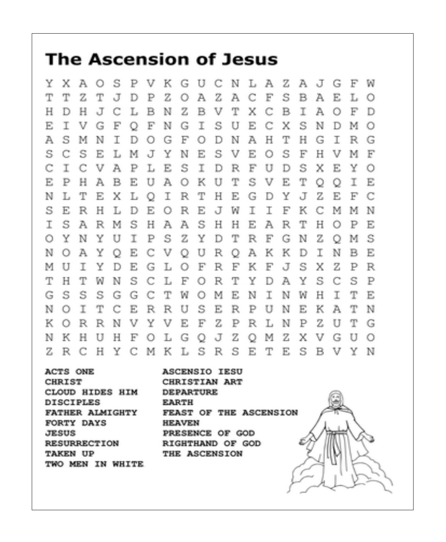## **The Ascension of Jesus**

- K UCNLA - Z AJGF Y. x A Ω s  $_{\rm F}$ V G - W T  $\mathbb Z$ S T z т z Α A С F J D Р  $\circ$ в A E. L. О Н Ζ B V т I н D J С L в N х C в A О F D S Е I V G F F Ν G I U Е C x s N Ð М Ω  $\circ$ s  $\bigcirc$ G F Ν A H т Н I Α м N I D. О D G. R. G S S. C s Е О F s Е L. м J Y Ν Е V H. V м F T L S T.  $\mathbf{F}% _{0}$ U S С С V A  $_{\rm P}$ E D R D х E Y Ω E. P н A в E. U А  $\circ$ К U т S V E. т О О Т E, T T. I R Т Н Е Y J Ζ F. F N T. Е X.  $\circ$ G D C S E R T К R Н L D Е О Е J W T F C М М N S S T. A  $_{\rm R}$ М s н A A н н Е Α R т н  $\circ$ P E 0. Y. N Y U I P s Ζ Y D т R F G Ν Ζ М s О Е U К К I Ν В E Ν  $\circ$ A Y C v  $\circ$ R A D О U Y Ε L F R F К F J s x Ζ P R м I D G О т H  $\mathbb{F}^n$ т Y Y s С S  $\mathbb P$ т W N S. C L  $\circ$ R D A G. S s S G G C т W.  $\circ$ M E Ν I N W Н I. T E N R R U S E. Ρ U Ν Ε К T  $\circ$ I. т С Е R А N K. v Y V E F Ζ P L N P z т  $\Omega$ R R N R U G H Z Ζ Х N. -К н U F О L. G.  $\circ$ J. О М V G U Ω Z. R C  $H$ Y C MKLSRSE T Е. S.  $\mathbf{B}$ V Y N

ACTS ONE **CHRIST** CLOUD HIDES HIM **DISCIPLES FATHER ALMIGHTY** FORTY DAYS JESUS. **RESURRECTION TAKEN UP** TWO MEN IN WHITE **ASCENSIO IESU** CHRISTIAN ART **DEPARTURE EARTH** FEAST OF THE ASCENSION **HEAVEN** PRESENCE OF GOD RIGHTHAND OF GOD THE ASCENSION